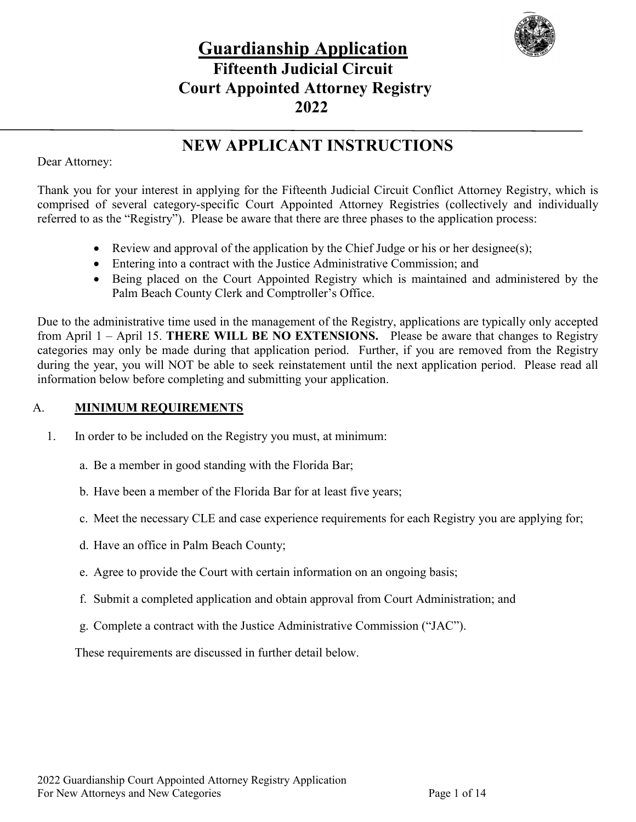

# **Guardianship Application Fifteenth Judicial Circuit Court Appointed Attorney Registry 2022**

## **NEW APPLICANT INSTRUCTIONS**

Dear Attorney:

Thank you for your interest in applying for the Fifteenth Judicial Circuit Conflict Attorney Registry, which is comprised of several category-specific Court Appointed Attorney Registries (collectively and individually referred to as the "Registry"). Please be aware that there are three phases to the application process:

- Review and approval of the application by the Chief Judge or his or her designee(s);
- Entering into a contract with the Justice Administrative Commission; and
- Being placed on the Court Appointed Registry which is maintained and administered by the Palm Beach County Clerk and Comptroller's Office.

Due to the administrative time used in the management of the Registry, applications are typically only accepted from April 1 – April 15. **THERE WILL BE NO EXTENSIONS.** Please be aware that changes to Registry categories may only be made during that application period. Further, if you are removed from the Registry during the year, you will NOT be able to seek reinstatement until the next application period. Please read all information below before completing and submitting your application.

#### A. **MINIMUM REQUIREMENTS**

1. In order to be included on the Registry you must, at minimum:

- a. Be a member in good standing with the Florida Bar;
- b. Have been a member of the Florida Bar for at least five years;
- c. Meet the necessary CLE and case experience requirements for each Registry you are applying for;
- d. Have an office in Palm Beach County;
- e. Agree to provide the Court with certain information on an ongoing basis;
- f. Submit a completed application and obtain approval from Court Administration; and
- g. Complete a contract with the Justice Administrative Commission ("JAC").

These requirements are discussed in further detail below.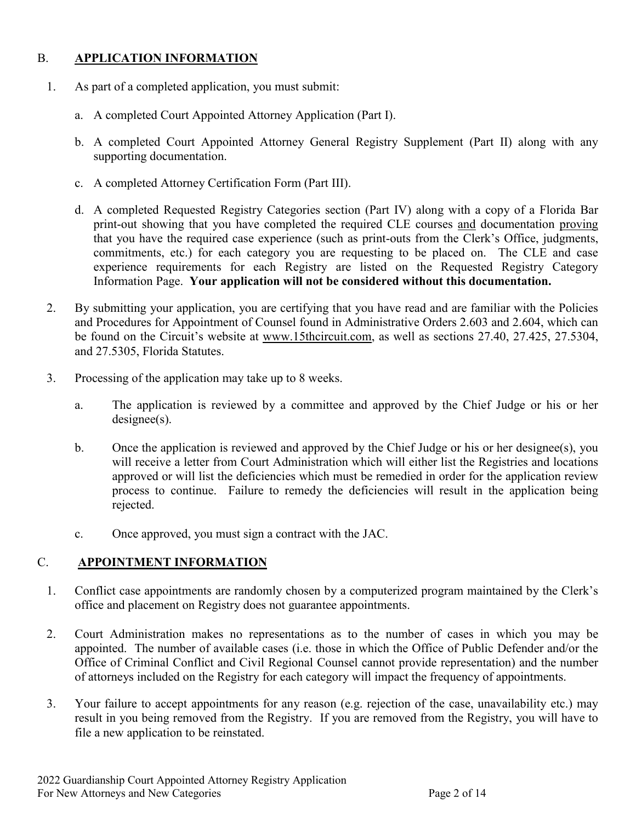#### B. **APPLICATION INFORMATION**

- 1. As part of a completed application, you must submit:
	- a. A completed Court Appointed Attorney Application (Part I).
	- b. A completed Court Appointed Attorney General Registry Supplement (Part II) along with any supporting documentation.
	- c. A completed Attorney Certification Form (Part III).
	- d. A completed Requested Registry Categories section (Part IV) along with a copy of a Florida Bar print-out showing that you have completed the required CLE courses and documentation proving that you have the required case experience (such as print-outs from the Clerk's Office, judgments, commitments, etc.) for each category you are requesting to be placed on. The CLE and case experience requirements for each Registry are listed on the Requested Registry Category Information Page. **Your application will not be considered without this documentation.**
- 2. By submitting your application, you are certifying that you have read and are familiar with the Policies and Procedures for Appointment of Counsel found in Administrative Orders 2.603 and 2.604, which can be found on the Circuit's website at [www.15thcircuit.com,](http://www.15thcircuit.com/) as well as sections 27.40, 27.425, 27.5304, and 27.5305, Florida Statutes.
- 3. Processing of the application may take up to 8 weeks.
	- a. The application is reviewed by a committee and approved by the Chief Judge or his or her designee(s).
	- b. Once the application is reviewed and approved by the Chief Judge or his or her designee(s), you will receive a letter from Court Administration which will either list the Registries and locations approved or will list the deficiencies which must be remedied in order for the application review process to continue. Failure to remedy the deficiencies will result in the application being rejected.
	- c. Once approved, you must sign a contract with the JAC.

#### C. **APPOINTMENT INFORMATION**

- 1. Conflict case appointments are randomly chosen by a computerized program maintained by the Clerk's office and placement on Registry does not guarantee appointments.
- 2. Court Administration makes no representations as to the number of cases in which you may be appointed. The number of available cases (i.e. those in which the Office of Public Defender and/or the Office of Criminal Conflict and Civil Regional Counsel cannot provide representation) and the number of attorneys included on the Registry for each category will impact the frequency of appointments.
- 3. Your failure to accept appointments for any reason (e.g. rejection of the case, unavailability etc.) may result in you being removed from the Registry. If you are removed from the Registry, you will have to file a new application to be reinstated.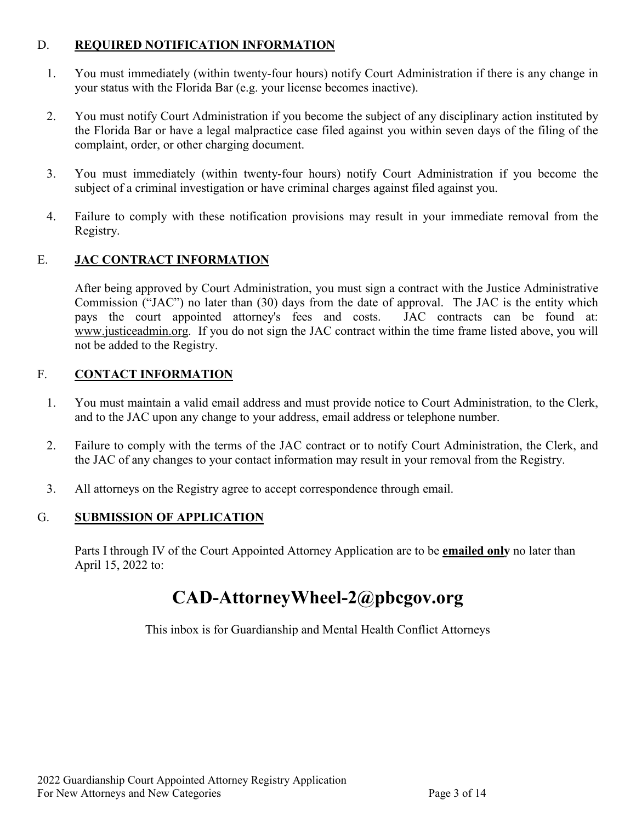#### D. **REQUIRED NOTIFICATION INFORMATION**

- 1. You must immediately (within twenty-four hours) notify Court Administration if there is any change in your status with the Florida Bar (e.g. your license becomes inactive).
- 2. You must notify Court Administration if you become the subject of any disciplinary action instituted by the Florida Bar or have a legal malpractice case filed against you within seven days of the filing of the complaint, order, or other charging document.
- 3. You must immediately (within twenty-four hours) notify Court Administration if you become the subject of a criminal investigation or have criminal charges against filed against you.
- 4. Failure to comply with these notification provisions may result in your immediate removal from the Registry.

#### E. **JAC CONTRACT INFORMATION**

After being approved by Court Administration, you must sign a contract with the Justice Administrative Commission ("JAC") no later than (30) days from the date of approval. The JAC is the entity which pays the court appointed attorney's fees and costs. JAC contracts can be found at: [www.justiceadmin.org.](http://www.justiceadmin.org/) If you do not sign the JAC contract within the time frame listed above, you will not be added to the Registry.

#### F. **CONTACT INFORMATION**

- 1. You must maintain a valid email address and must provide notice to Court Administration, to the Clerk, and to the JAC upon any change to your address, email address or telephone number.
- 2. Failure to comply with the terms of the JAC contract or to notify Court Administration, the Clerk, and the JAC of any changes to your contact information may result in your removal from the Registry.
- 3. All attorneys on the Registry agree to accept correspondence through email.

#### G. **SUBMISSION OF APPLICATION**

Parts I through IV of the Court Appointed Attorney Application are to be **emailed only** no later than April 15, 2022 to:

# **CAD-AttorneyWheel-2@pbcgov.org**

This inbox is for Guardianship and Mental Health Conflict Attorneys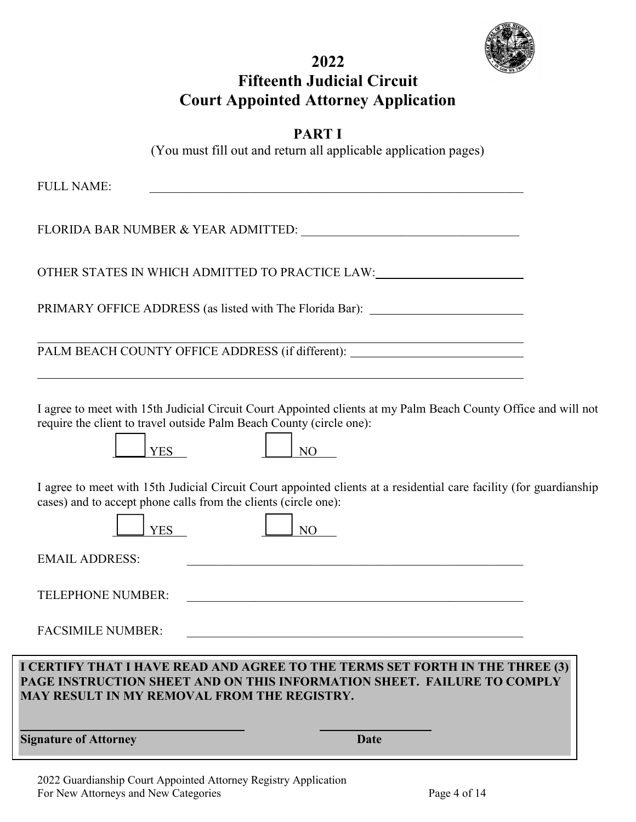

# **2022 Fifteenth Judicial Circuit Court Appointed Attorney Application**

|--|--|

(You must fill out and return all applicable application pages)

| <b>Signature of Attorney</b><br>Date                                                                                                                                                                                   |  |
|------------------------------------------------------------------------------------------------------------------------------------------------------------------------------------------------------------------------|--|
| I CERTIFY THAT I HAVE READ AND AGREE TO THE TERMS SET FORTH IN THE THREE (3)<br>PAGE INSTRUCTION SHEET AND ON THIS INFORMATION SHEET. FAILURE TO COMPLY<br>MAY RESULT IN MY REMOVAL FROM THE REGISTRY.                 |  |
| <b>FACSIMILE NUMBER:</b>                                                                                                                                                                                               |  |
| <b>TELEPHONE NUMBER:</b>                                                                                                                                                                                               |  |
| <b>EMAIL ADDRESS:</b><br><u> 1980 - Johann Barbara, martxa alemaniar argametar a contra a contra a contra a contra a contra a contra a co</u>                                                                          |  |
| I agree to meet with 15th Judicial Circuit Court appointed clients at a residential care facility (for guardianship<br>cases) and to accept phone calls from the clients (circle one):<br><b>YES</b><br>N <sub>O</sub> |  |
| require the client to travel outside Palm Beach County (circle one):<br><b>YES</b><br>NO.                                                                                                                              |  |
| I agree to meet with 15th Judicial Circuit Court Appointed clients at my Palm Beach County Office and will not                                                                                                         |  |
| PALM BEACH COUNTY OFFICE ADDRESS (if different): _______________________________                                                                                                                                       |  |
| PRIMARY OFFICE ADDRESS (as listed with The Florida Bar): _______________________                                                                                                                                       |  |
| OTHER STATES IN WHICH ADMITTED TO PRACTICE LAW:                                                                                                                                                                        |  |
|                                                                                                                                                                                                                        |  |
|                                                                                                                                                                                                                        |  |
| <b>FULL NAME:</b>                                                                                                                                                                                                      |  |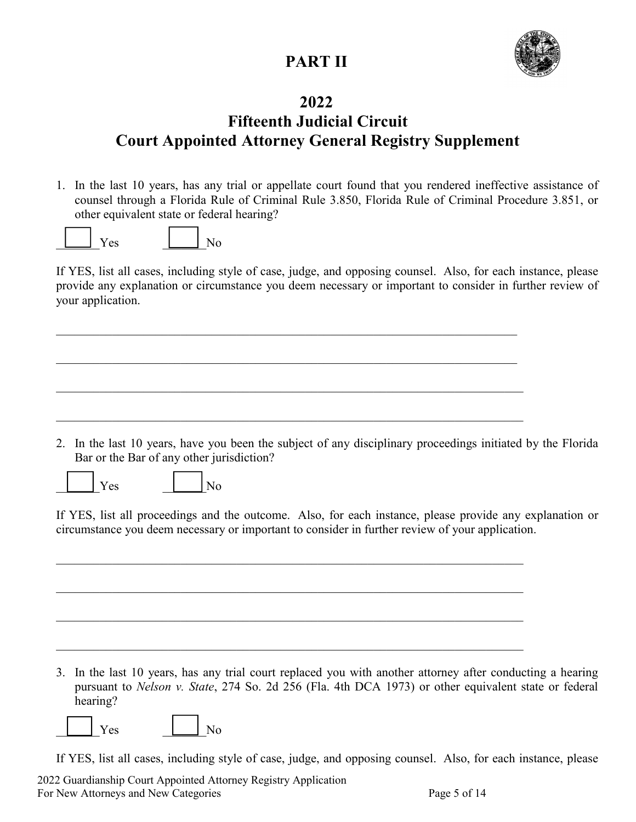# **PART II**



## **2022**

# **Fifteenth Judicial Circuit Court Appointed Attorney General Registry Supplement**

1. In the last 10 years, has any trial or appellate court found that you rendered ineffective assistance of counsel through a Florida Rule of Criminal Rule 3.850, Florida Rule of Criminal Procedure 3.851, or other equivalent state or federal hearing?

|--|--|

If YES, list all cases, including style of case, judge, and opposing counsel. Also, for each instance, please provide any explanation or circumstance you deem necessary or important to consider in further review of your application.

 $\mathcal{L}_\mathcal{L} = \mathcal{L}_\mathcal{L} = \mathcal{L}_\mathcal{L} = \mathcal{L}_\mathcal{L} = \mathcal{L}_\mathcal{L} = \mathcal{L}_\mathcal{L} = \mathcal{L}_\mathcal{L} = \mathcal{L}_\mathcal{L} = \mathcal{L}_\mathcal{L} = \mathcal{L}_\mathcal{L} = \mathcal{L}_\mathcal{L} = \mathcal{L}_\mathcal{L} = \mathcal{L}_\mathcal{L} = \mathcal{L}_\mathcal{L} = \mathcal{L}_\mathcal{L} = \mathcal{L}_\mathcal{L} = \mathcal{L}_\mathcal{L}$ 

2. In the last 10 years, have you been the subject of any disciplinary proceedings initiated by the Florida Bar or the Bar of any other jurisdiction?



 $Yes$   $|$   $|$   $|$   $|$ 

If YES, list all proceedings and the outcome. Also, for each instance, please provide any explanation or circumstance you deem necessary or important to consider in further review of your application.

3. In the last 10 years, has any trial court replaced you with another attorney after conducting a hearing pursuant to *Nelson v. State*, 274 So. 2d 256 (Fla. 4th DCA 1973) or other equivalent state or federal hearing?

 $\mathcal{L}_\mathcal{L} = \mathcal{L}_\mathcal{L} = \mathcal{L}_\mathcal{L} = \mathcal{L}_\mathcal{L} = \mathcal{L}_\mathcal{L} = \mathcal{L}_\mathcal{L} = \mathcal{L}_\mathcal{L} = \mathcal{L}_\mathcal{L} = \mathcal{L}_\mathcal{L} = \mathcal{L}_\mathcal{L} = \mathcal{L}_\mathcal{L} = \mathcal{L}_\mathcal{L} = \mathcal{L}_\mathcal{L} = \mathcal{L}_\mathcal{L} = \mathcal{L}_\mathcal{L} = \mathcal{L}_\mathcal{L} = \mathcal{L}_\mathcal{L}$ 

Yes  $\vert$  | No

If YES, list all cases, including style of case, judge, and opposing counsel. Also, for each instance, please

2022 Guardianship Court Appointed Attorney Registry Application For New Attorneys and New Categories Page 5 of 14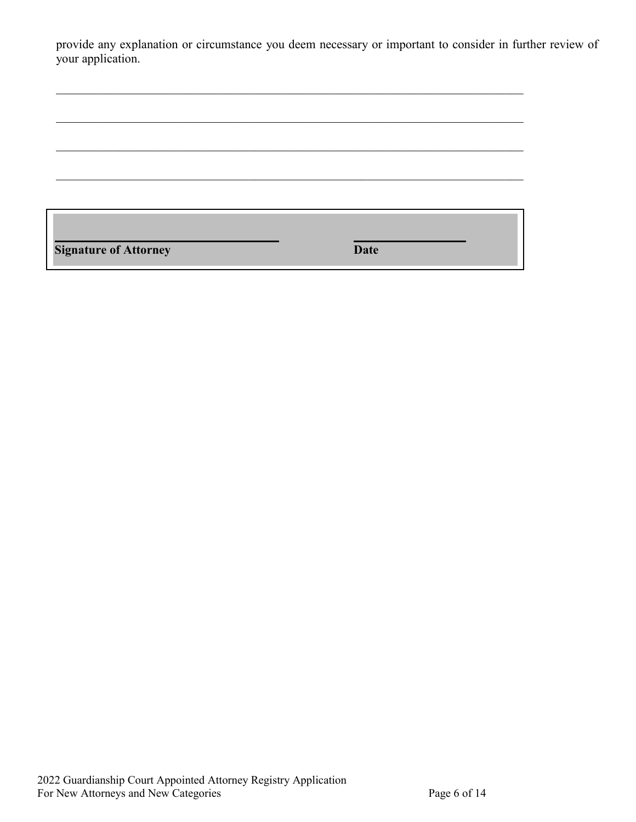provide any explanation or circumstance you deem necessary or important to consider in further review of your application.

 $\mathcal{L}_\mathcal{L} = \mathcal{L}_\mathcal{L} = \mathcal{L}_\mathcal{L} = \mathcal{L}_\mathcal{L} = \mathcal{L}_\mathcal{L} = \mathcal{L}_\mathcal{L} = \mathcal{L}_\mathcal{L} = \mathcal{L}_\mathcal{L} = \mathcal{L}_\mathcal{L} = \mathcal{L}_\mathcal{L} = \mathcal{L}_\mathcal{L} = \mathcal{L}_\mathcal{L} = \mathcal{L}_\mathcal{L} = \mathcal{L}_\mathcal{L} = \mathcal{L}_\mathcal{L} = \mathcal{L}_\mathcal{L} = \mathcal{L}_\mathcal{L}$ 

**Signature** of Attorney **Date**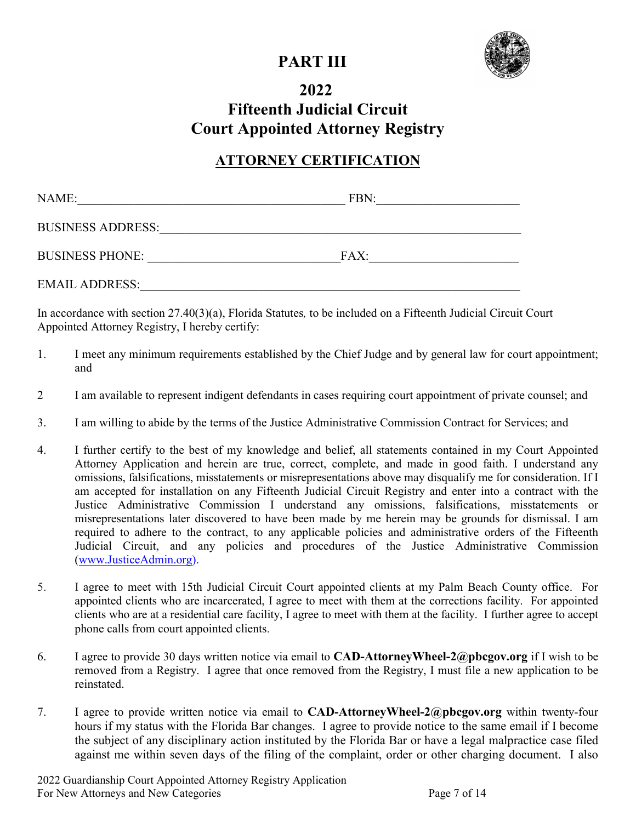## **PART III**



## **2022 Fifteenth Judicial Circuit Court Appointed Attorney Registry**

## **ATTORNEY CERTIFICATION**

| NAME:                    | FBN: |
|--------------------------|------|
| <b>BUSINESS ADDRESS:</b> |      |
| <b>BUSINESS PHONE:</b>   | FAX: |
| <b>EMAIL ADDRESS:</b>    |      |

In accordance with section 27.40(3)(a), Florida Statutes*,* to be included on a Fifteenth Judicial Circuit Court Appointed Attorney Registry, I hereby certify:

- 1. I meet any minimum requirements established by the Chief Judge and by general law for court appointment; and
- 2 I am available to represent indigent defendants in cases requiring court appointment of private counsel; and
- 3. I am willing to abide by the terms of the Justice Administrative Commission Contract for Services; and
- 4. I further certify to the best of my knowledge and belief, all statements contained in my Court Appointed Attorney Application and herein are true, correct, complete, and made in good faith. I understand any omissions, falsifications, misstatements or misrepresentations above may disqualify me for consideration. If I am accepted for installation on any Fifteenth Judicial Circuit Registry and enter into a contract with the Justice Administrative Commission I understand any omissions, falsifications, misstatements or misrepresentations later discovered to have been made by me herein may be grounds for dismissal. I am required to adhere to the contract, to any applicable policies and administrative orders of the Fifteenth Judicial Circuit, and any policies and procedures of the Justice Administrative Commission [\(www.JusticeAdmin.org\)](http://www.justiceadmin.org/).
- 5. I agree to meet with 15th Judicial Circuit Court appointed clients at my Palm Beach County office. For appointed clients who are incarcerated, I agree to meet with them at the corrections facility. For appointed clients who are at a residential care facility, I agree to meet with them at the facility. I further agree to accept phone calls from court appointed clients.
- 6. I agree to provide 30 days written notice via email to **CAD-AttorneyWheel-2@pbcgov.org** if I wish to be removed from a Registry. I agree that once removed from the Registry, I must file a new application to be reinstated.
- 7. I agree to provide written notice via email to **CAD-AttorneyWheel-2@pbcgov.org** within twenty-four hours if my status with the Florida Bar changes. I agree to provide notice to the same email if I become the subject of any disciplinary action instituted by the Florida Bar or have a legal malpractice case filed against me within seven days of the filing of the complaint, order or other charging document. I also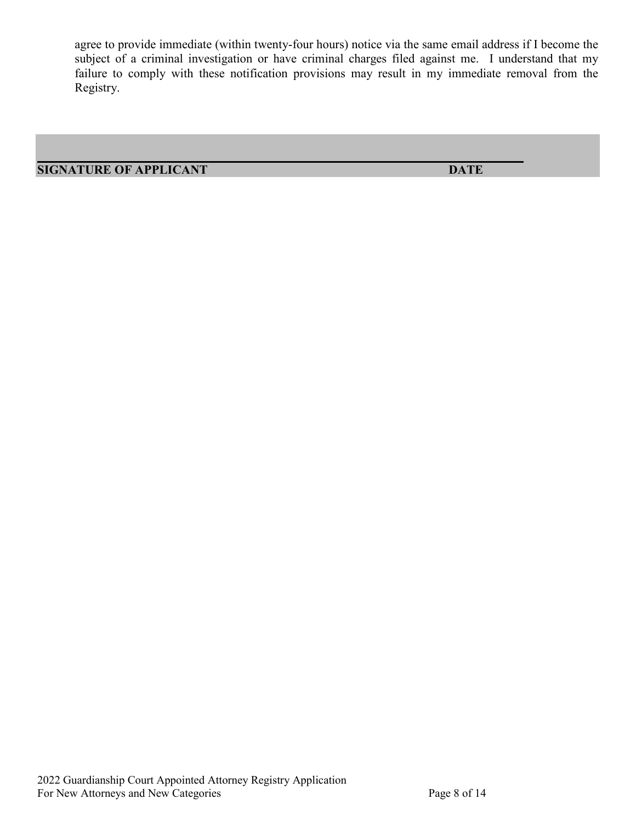agree to provide immediate (within twenty-four hours) notice via the same email address if I become the subject of a criminal investigation or have criminal charges filed against me. I understand that my failure to comply with these notification provisions may result in my immediate removal from the Registry.

**SIGNATURE OF APPLICANT DATE**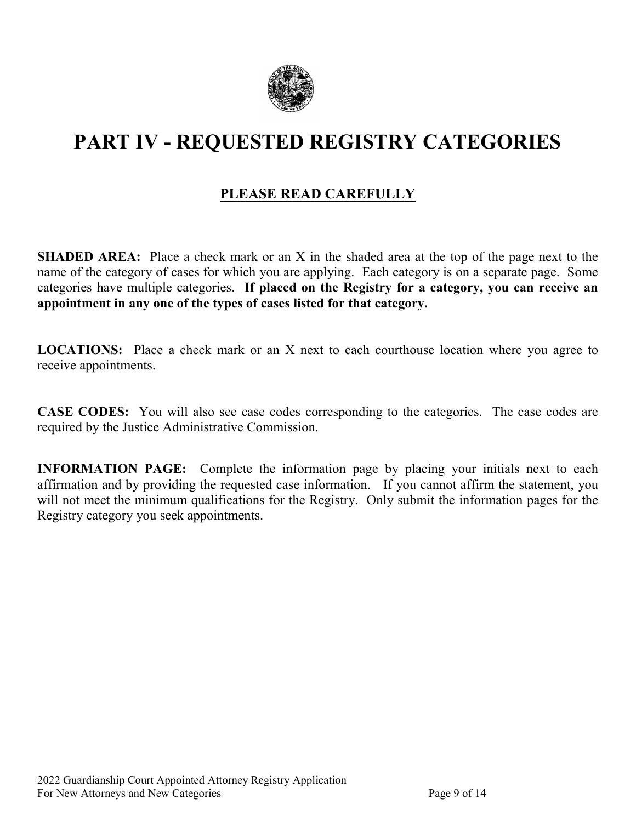

# **PART IV - REQUESTED REGISTRY CATEGORIES**

## **PLEASE READ CAREFULLY**

**SHADED AREA:** Place a check mark or an X in the shaded area at the top of the page next to the name of the category of cases for which you are applying. Each category is on a separate page. Some categories have multiple categories. **If placed on the Registry for a category, you can receive an appointment in any one of the types of cases listed for that category.**

**LOCATIONS:** Place a check mark or an X next to each courthouse location where you agree to receive appointments.

**CASE CODES:** You will also see case codes corresponding to the categories. The case codes are required by the Justice Administrative Commission.

**INFORMATION** PAGE: Complete the information page by placing your initials next to each affirmation and by providing the requested case information. If you cannot affirm the statement, you will not meet the minimum qualifications for the Registry. Only submit the information pages for the Registry category you seek appointments.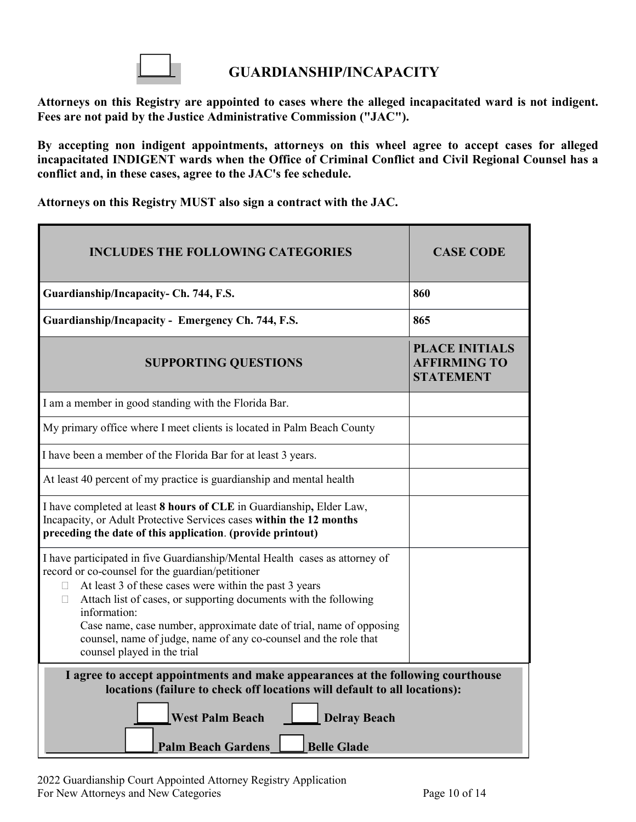

#### **GUARDIANSHIP/INCAPACITY**

**Attorneys on this Registry are appointed to cases where the alleged incapacitated ward is not indigent. Fees are not paid by the Justice Administrative Commission ("JAC").** 

**By accepting non indigent appointments, attorneys on this wheel agree to accept cases for alleged incapacitated INDIGENT wards when the Office of Criminal Conflict and Civil Regional Counsel has a conflict and, in these cases, agree to the JAC's fee schedule.**

**Attorneys on this Registry MUST also sign a contract with the JAC.**

| <b>INCLUDES THE FOLLOWING CATEGORIES</b>                                                                                                                                                                                                                                                                                                                                                                                                                     | <b>CASE CODE</b>                                                 |
|--------------------------------------------------------------------------------------------------------------------------------------------------------------------------------------------------------------------------------------------------------------------------------------------------------------------------------------------------------------------------------------------------------------------------------------------------------------|------------------------------------------------------------------|
| Guardianship/Incapacity- Ch. 744, F.S.                                                                                                                                                                                                                                                                                                                                                                                                                       | 860                                                              |
| Guardianship/Incapacity - Emergency Ch. 744, F.S.                                                                                                                                                                                                                                                                                                                                                                                                            | 865                                                              |
| <b>SUPPORTING QUESTIONS</b>                                                                                                                                                                                                                                                                                                                                                                                                                                  | <b>PLACE INITIALS</b><br><b>AFFIRMING TO</b><br><b>STATEMENT</b> |
| I am a member in good standing with the Florida Bar.                                                                                                                                                                                                                                                                                                                                                                                                         |                                                                  |
| My primary office where I meet clients is located in Palm Beach County                                                                                                                                                                                                                                                                                                                                                                                       |                                                                  |
| I have been a member of the Florida Bar for at least 3 years.                                                                                                                                                                                                                                                                                                                                                                                                |                                                                  |
| At least 40 percent of my practice is guardianship and mental health                                                                                                                                                                                                                                                                                                                                                                                         |                                                                  |
| I have completed at least 8 hours of CLE in Guardianship, Elder Law,<br>Incapacity, or Adult Protective Services cases within the 12 months<br>preceding the date of this application. (provide printout)                                                                                                                                                                                                                                                    |                                                                  |
| I have participated in five Guardianship/Mental Health cases as attorney of<br>record or co-counsel for the guardian/petitioner<br>At least 3 of these cases were within the past 3 years<br>Attach list of cases, or supporting documents with the following<br>П<br>information:<br>Case name, case number, approximate date of trial, name of opposing<br>counsel, name of judge, name of any co-counsel and the role that<br>counsel played in the trial |                                                                  |
| I agree to accept appointments and make appearances at the following courthouse<br>locations (failure to check off locations will default to all locations):<br><b>West Palm Beach</b><br><b>Delray Beach</b><br><b>Palm Beach Gardens</b><br><b>Belle Glade</b>                                                                                                                                                                                             |                                                                  |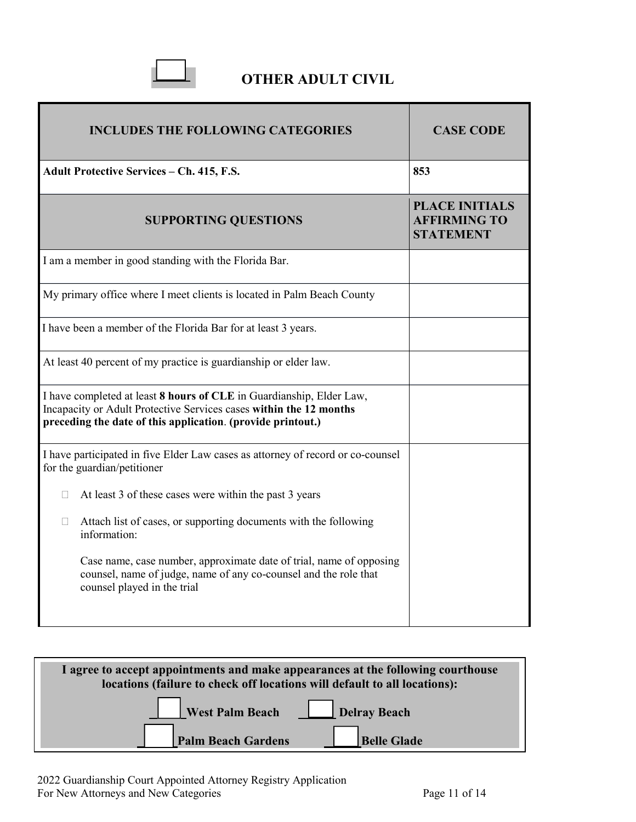

## **OTHER ADULT CIVIL**

| <b>INCLUDES THE FOLLOWING CATEGORIES</b>                                                                                                                                                                  | <b>CASE CODE</b>                                                 |
|-----------------------------------------------------------------------------------------------------------------------------------------------------------------------------------------------------------|------------------------------------------------------------------|
| <b>Adult Protective Services - Ch. 415, F.S.</b>                                                                                                                                                          | 853                                                              |
| <b>SUPPORTING QUESTIONS</b>                                                                                                                                                                               | <b>PLACE INITIALS</b><br><b>AFFIRMING TO</b><br><b>STATEMENT</b> |
| I am a member in good standing with the Florida Bar.                                                                                                                                                      |                                                                  |
| My primary office where I meet clients is located in Palm Beach County                                                                                                                                    |                                                                  |
| I have been a member of the Florida Bar for at least 3 years.                                                                                                                                             |                                                                  |
| At least 40 percent of my practice is guardianship or elder law.                                                                                                                                          |                                                                  |
| I have completed at least 8 hours of CLE in Guardianship, Elder Law,<br>Incapacity or Adult Protective Services cases within the 12 months<br>preceding the date of this application. (provide printout.) |                                                                  |
| I have participated in five Elder Law cases as attorney of record or co-counsel<br>for the guardian/petitioner                                                                                            |                                                                  |
| At least 3 of these cases were within the past 3 years<br>П                                                                                                                                               |                                                                  |
| Attach list of cases, or supporting documents with the following<br>П<br>information:                                                                                                                     |                                                                  |
| Case name, case number, approximate date of trial, name of opposing<br>counsel, name of judge, name of any co-counsel and the role that<br>counsel played in the trial                                    |                                                                  |

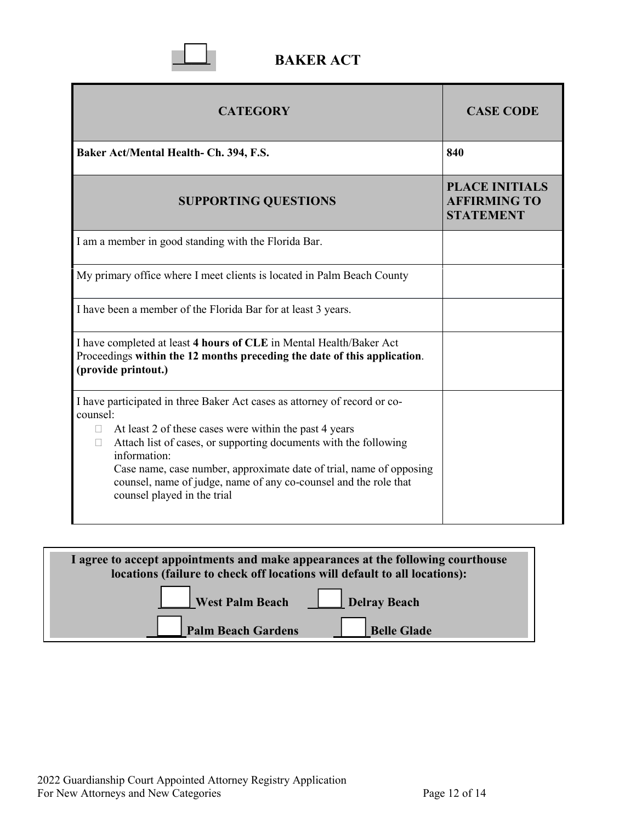

| <b>CATEGORY</b>                                                                                                                                                                                                                                                                                                                                                                                                              | <b>CASE CODE</b>                                                 |
|------------------------------------------------------------------------------------------------------------------------------------------------------------------------------------------------------------------------------------------------------------------------------------------------------------------------------------------------------------------------------------------------------------------------------|------------------------------------------------------------------|
| Baker Act/Mental Health- Ch. 394, F.S.                                                                                                                                                                                                                                                                                                                                                                                       | 840                                                              |
| <b>SUPPORTING QUESTIONS</b>                                                                                                                                                                                                                                                                                                                                                                                                  | <b>PLACE INITIALS</b><br><b>AFFIRMING TO</b><br><b>STATEMENT</b> |
| I am a member in good standing with the Florida Bar.                                                                                                                                                                                                                                                                                                                                                                         |                                                                  |
| My primary office where I meet clients is located in Palm Beach County                                                                                                                                                                                                                                                                                                                                                       |                                                                  |
| I have been a member of the Florida Bar for at least 3 years.                                                                                                                                                                                                                                                                                                                                                                |                                                                  |
| I have completed at least 4 hours of CLE in Mental Health/Baker Act<br>Proceedings within the 12 months preceding the date of this application.<br>(provide printout.)                                                                                                                                                                                                                                                       |                                                                  |
| I have participated in three Baker Act cases as attorney of record or co-<br>counsel:<br>At least 2 of these cases were within the past 4 years<br>$\Box$<br>Attach list of cases, or supporting documents with the following<br>П<br>information:<br>Case name, case number, approximate date of trial, name of opposing<br>counsel, name of judge, name of any co-counsel and the role that<br>counsel played in the trial |                                                                  |

| I agree to accept appointments and make appearances at the following courthouse<br>locations (failure to check off locations will default to all locations): |  |
|--------------------------------------------------------------------------------------------------------------------------------------------------------------|--|
| West Palm Beach Delray Beach                                                                                                                                 |  |
| <b>Palm Beach Gardens</b><br><b>Belle Glade</b>                                                                                                              |  |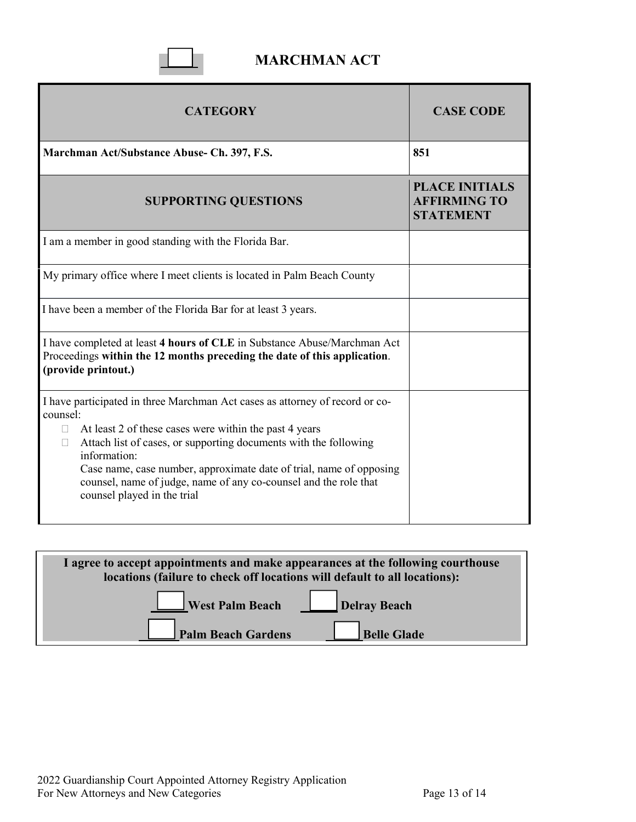

## **MARCHMAN ACT**

| <b>CATEGORY</b>                                                                                                                                                                                                                                                                                                                | <b>CASE CODE</b>                                                 |
|--------------------------------------------------------------------------------------------------------------------------------------------------------------------------------------------------------------------------------------------------------------------------------------------------------------------------------|------------------------------------------------------------------|
| Marchman Act/Substance Abuse- Ch. 397, F.S.                                                                                                                                                                                                                                                                                    | 851                                                              |
| <b>SUPPORTING QUESTIONS</b>                                                                                                                                                                                                                                                                                                    | <b>PLACE INITIALS</b><br><b>AFFIRMING TO</b><br><b>STATEMENT</b> |
| I am a member in good standing with the Florida Bar.                                                                                                                                                                                                                                                                           |                                                                  |
| My primary office where I meet clients is located in Palm Beach County                                                                                                                                                                                                                                                         |                                                                  |
| I have been a member of the Florida Bar for at least 3 years.                                                                                                                                                                                                                                                                  |                                                                  |
| I have completed at least 4 hours of CLE in Substance Abuse/Marchman Act<br>Proceedings within the 12 months preceding the date of this application.<br>(provide printout.)                                                                                                                                                    |                                                                  |
| I have participated in three Marchman Act cases as attorney of record or co-<br>counsel:                                                                                                                                                                                                                                       |                                                                  |
| At least 2 of these cases were within the past 4 years<br>П<br>Attach list of cases, or supporting documents with the following<br>П<br>information:<br>Case name, case number, approximate date of trial, name of opposing<br>counsel, name of judge, name of any co-counsel and the role that<br>counsel played in the trial |                                                                  |

| I agree to accept appointments and make appearances at the following courthouse<br>locations (failure to check off locations will default to all locations): |  |
|--------------------------------------------------------------------------------------------------------------------------------------------------------------|--|
| West Palm Beach Delray Beach                                                                                                                                 |  |
| Palm Beach Gardens<br><b>Belle Glade</b>                                                                                                                     |  |